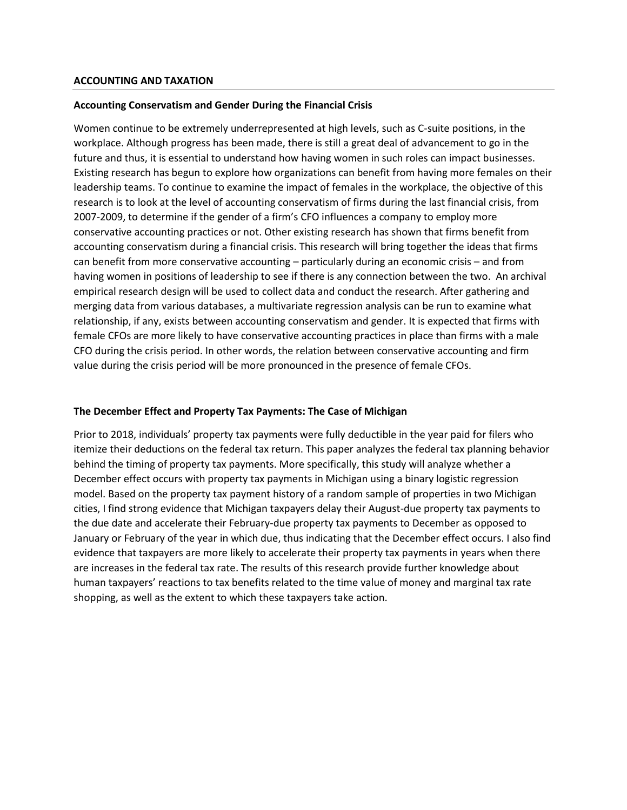## **Accounting Conservatism and Gender During the Financial Crisis**

Women continue to be extremely underrepresented at high levels, such as C-suite positions, in the workplace. Although progress has been made, there is still a great deal of advancement to go in the future and thus, it is essential to understand how having women in such roles can impact businesses. Existing research has begun to explore how organizations can benefit from having more females on their leadership teams. To continue to examine the impact of females in the workplace, the objective of this research is to look at the level of accounting conservatism of firms during the last financial crisis, from 2007-2009, to determine if the gender of a firm's CFO influences a company to employ more conservative accounting practices or not. Other existing research has shown that firms benefit from accounting conservatism during a financial crisis. This research will bring together the ideas that firms can benefit from more conservative accounting – particularly during an economic crisis – and from having women in positions of leadership to see if there is any connection between the two. An archival empirical research design will be used to collect data and conduct the research. After gathering and merging data from various databases, a multivariate regression analysis can be run to examine what relationship, if any, exists between accounting conservatism and gender. It is expected that firms with female CFOs are more likely to have conservative accounting practices in place than firms with a male CFO during the crisis period. In other words, the relation between conservative accounting and firm value during the crisis period will be more pronounced in the presence of female CFOs.

## **The December Effect and Property Tax Payments: The Case of Michigan**

Prior to 2018, individuals' property tax payments were fully deductible in the year paid for filers who itemize their deductions on the federal tax return. This paper analyzes the federal tax planning behavior behind the timing of property tax payments. More specifically, this study will analyze whether a December effect occurs with property tax payments in Michigan using a binary logistic regression model. Based on the property tax payment history of a random sample of properties in two Michigan cities, I find strong evidence that Michigan taxpayers delay their August-due property tax payments to the due date and accelerate their February-due property tax payments to December as opposed to January or February of the year in which due, thus indicating that the December effect occurs. I also find evidence that taxpayers are more likely to accelerate their property tax payments in years when there are increases in the federal tax rate. The results of this research provide further knowledge about human taxpayers' reactions to tax benefits related to the time value of money and marginal tax rate shopping, as well as the extent to which these taxpayers take action.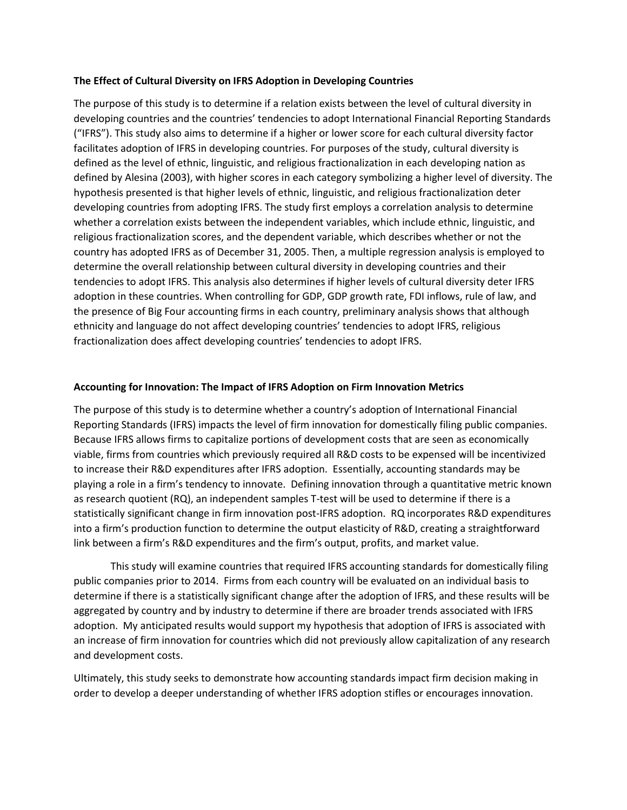## **The Effect of Cultural Diversity on IFRS Adoption in Developing Countries**

The purpose of this study is to determine if a relation exists between the level of cultural diversity in developing countries and the countries' tendencies to adopt International Financial Reporting Standards ("IFRS"). This study also aims to determine if a higher or lower score for each cultural diversity factor facilitates adoption of IFRS in developing countries. For purposes of the study, cultural diversity is defined as the level of ethnic, linguistic, and religious fractionalization in each developing nation as defined by Alesina (2003), with higher scores in each category symbolizing a higher level of diversity. The hypothesis presented is that higher levels of ethnic, linguistic, and religious fractionalization deter developing countries from adopting IFRS. The study first employs a correlation analysis to determine whether a correlation exists between the independent variables, which include ethnic, linguistic, and religious fractionalization scores, and the dependent variable, which describes whether or not the country has adopted IFRS as of December 31, 2005. Then, a multiple regression analysis is employed to determine the overall relationship between cultural diversity in developing countries and their tendencies to adopt IFRS. This analysis also determines if higher levels of cultural diversity deter IFRS adoption in these countries. When controlling for GDP, GDP growth rate, FDI inflows, rule of law, and the presence of Big Four accounting firms in each country, preliminary analysis shows that although ethnicity and language do not affect developing countries' tendencies to adopt IFRS, religious fractionalization does affect developing countries' tendencies to adopt IFRS.

## **Accounting for Innovation: The Impact of IFRS Adoption on Firm Innovation Metrics**

The purpose of this study is to determine whether a country's adoption of International Financial Reporting Standards (IFRS) impacts the level of firm innovation for domestically filing public companies. Because IFRS allows firms to capitalize portions of development costs that are seen as economically viable, firms from countries which previously required all R&D costs to be expensed will be incentivized to increase their R&D expenditures after IFRS adoption. Essentially, accounting standards may be playing a role in a firm's tendency to innovate. Defining innovation through a quantitative metric known as research quotient (RQ), an independent samples T-test will be used to determine if there is a statistically significant change in firm innovation post-IFRS adoption. RQ incorporates R&D expenditures into a firm's production function to determine the output elasticity of R&D, creating a straightforward link between a firm's R&D expenditures and the firm's output, profits, and market value.

This study will examine countries that required IFRS accounting standards for domestically filing public companies prior to 2014. Firms from each country will be evaluated on an individual basis to determine if there is a statistically significant change after the adoption of IFRS, and these results will be aggregated by country and by industry to determine if there are broader trends associated with IFRS adoption. My anticipated results would support my hypothesis that adoption of IFRS is associated with an increase of firm innovation for countries which did not previously allow capitalization of any research and development costs.

Ultimately, this study seeks to demonstrate how accounting standards impact firm decision making in order to develop a deeper understanding of whether IFRS adoption stifles or encourages innovation.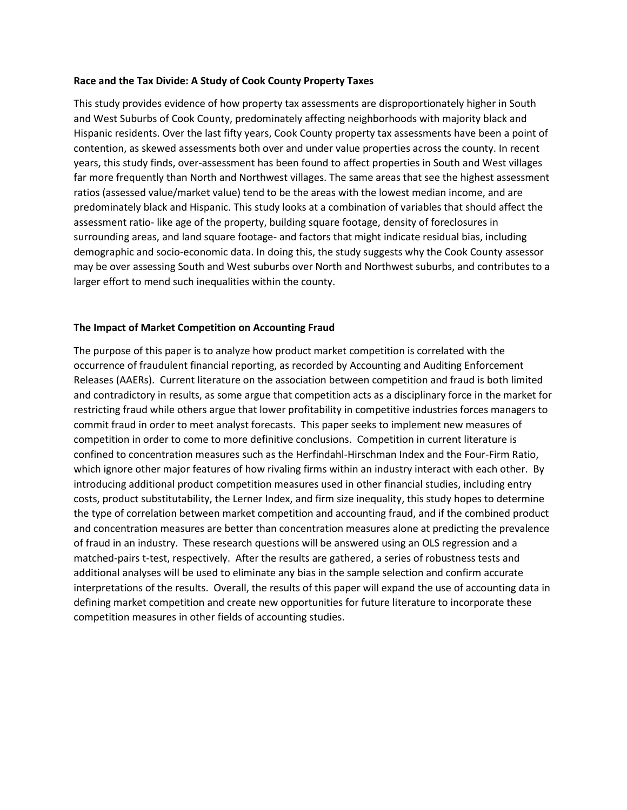#### **Race and the Tax Divide: A Study of Cook County Property Taxes**

This study provides evidence of how property tax assessments are disproportionately higher in South and West Suburbs of Cook County, predominately affecting neighborhoods with majority black and Hispanic residents. Over the last fifty years, Cook County property tax assessments have been a point of contention, as skewed assessments both over and under value properties across the county. In recent years, this study finds, over-assessment has been found to affect properties in South and West villages far more frequently than North and Northwest villages. The same areas that see the highest assessment ratios (assessed value/market value) tend to be the areas with the lowest median income, and are predominately black and Hispanic. This study looks at a combination of variables that should affect the assessment ratio- like age of the property, building square footage, density of foreclosures in surrounding areas, and land square footage- and factors that might indicate residual bias, including demographic and socio-economic data. In doing this, the study suggests why the Cook County assessor may be over assessing South and West suburbs over North and Northwest suburbs, and contributes to a larger effort to mend such inequalities within the county.

#### **The Impact of Market Competition on Accounting Fraud**

The purpose of this paper is to analyze how product market competition is correlated with the occurrence of fraudulent financial reporting, as recorded by Accounting and Auditing Enforcement Releases (AAERs). Current literature on the association between competition and fraud is both limited and contradictory in results, as some argue that competition acts as a disciplinary force in the market for restricting fraud while others argue that lower profitability in competitive industries forces managers to commit fraud in order to meet analyst forecasts. This paper seeks to implement new measures of competition in order to come to more definitive conclusions. Competition in current literature is confined to concentration measures such as the Herfindahl-Hirschman Index and the Four-Firm Ratio, which ignore other major features of how rivaling firms within an industry interact with each other. By introducing additional product competition measures used in other financial studies, including entry costs, product substitutability, the Lerner Index, and firm size inequality, this study hopes to determine the type of correlation between market competition and accounting fraud, and if the combined product and concentration measures are better than concentration measures alone at predicting the prevalence of fraud in an industry. These research questions will be answered using an OLS regression and a matched-pairs t-test, respectively. After the results are gathered, a series of robustness tests and additional analyses will be used to eliminate any bias in the sample selection and confirm accurate interpretations of the results. Overall, the results of this paper will expand the use of accounting data in defining market competition and create new opportunities for future literature to incorporate these competition measures in other fields of accounting studies.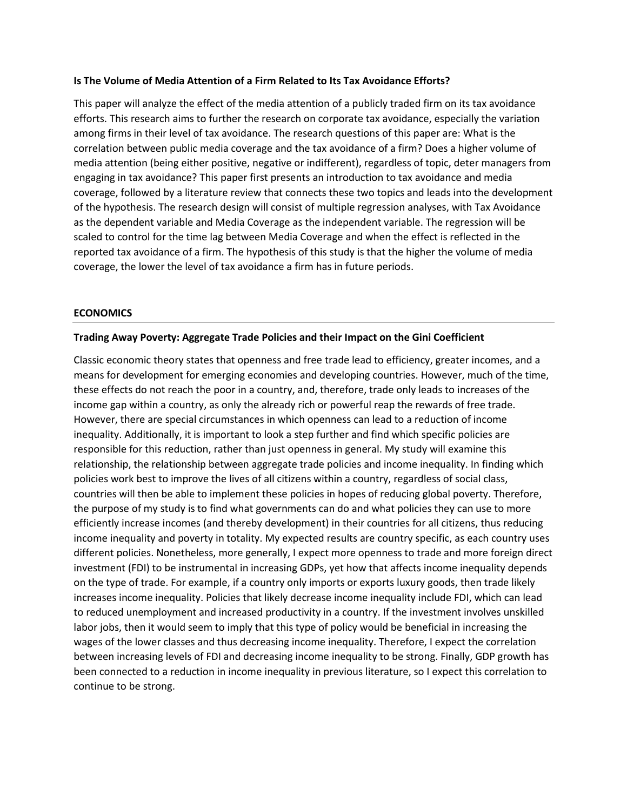## **Is The Volume of Media Attention of a Firm Related to Its Tax Avoidance Efforts?**

This paper will analyze the effect of the media attention of a publicly traded firm on its tax avoidance efforts. This research aims to further the research on corporate tax avoidance, especially the variation among firms in their level of tax avoidance. The research questions of this paper are: What is the correlation between public media coverage and the tax avoidance of a firm? Does a higher volume of media attention (being either positive, negative or indifferent), regardless of topic, deter managers from engaging in tax avoidance? This paper first presents an introduction to tax avoidance and media coverage, followed by a literature review that connects these two topics and leads into the development of the hypothesis. The research design will consist of multiple regression analyses, with Tax Avoidance as the dependent variable and Media Coverage as the independent variable. The regression will be scaled to control for the time lag between Media Coverage and when the effect is reflected in the reported tax avoidance of a firm. The hypothesis of this study is that the higher the volume of media coverage, the lower the level of tax avoidance a firm has in future periods.

## **ECONOMICS**

## **Trading Away Poverty: Aggregate Trade Policies and their Impact on the Gini Coefficient**

Classic economic theory states that openness and free trade lead to efficiency, greater incomes, and a means for development for emerging economies and developing countries. However, much of the time, these effects do not reach the poor in a country, and, therefore, trade only leads to increases of the income gap within a country, as only the already rich or powerful reap the rewards of free trade. However, there are special circumstances in which openness can lead to a reduction of income inequality. Additionally, it is important to look a step further and find which specific policies are responsible for this reduction, rather than just openness in general. My study will examine this relationship, the relationship between aggregate trade policies and income inequality. In finding which policies work best to improve the lives of all citizens within a country, regardless of social class, countries will then be able to implement these policies in hopes of reducing global poverty. Therefore, the purpose of my study is to find what governments can do and what policies they can use to more efficiently increase incomes (and thereby development) in their countries for all citizens, thus reducing income inequality and poverty in totality. My expected results are country specific, as each country uses different policies. Nonetheless, more generally, I expect more openness to trade and more foreign direct investment (FDI) to be instrumental in increasing GDPs, yet how that affects income inequality depends on the type of trade. For example, if a country only imports or exports luxury goods, then trade likely increases income inequality. Policies that likely decrease income inequality include FDI, which can lead to reduced unemployment and increased productivity in a country. If the investment involves unskilled labor jobs, then it would seem to imply that this type of policy would be beneficial in increasing the wages of the lower classes and thus decreasing income inequality. Therefore, I expect the correlation between increasing levels of FDI and decreasing income inequality to be strong. Finally, GDP growth has been connected to a reduction in income inequality in previous literature, so I expect this correlation to continue to be strong.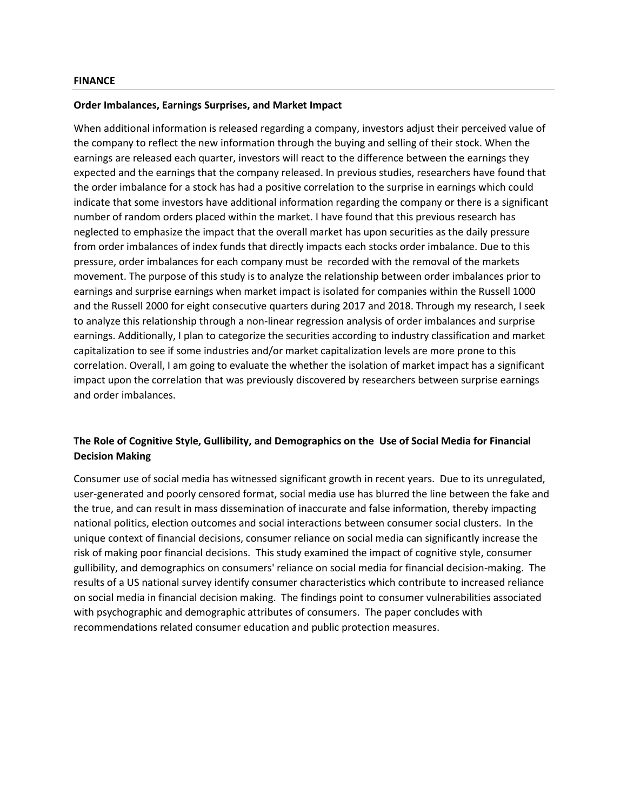#### **Order Imbalances, Earnings Surprises, and Market Impact**

When additional information is released regarding a company, investors adjust their perceived value of the company to reflect the new information through the buying and selling of their stock. When the earnings are released each quarter, investors will react to the difference between the earnings they expected and the earnings that the company released. In previous studies, researchers have found that the order imbalance for a stock has had a positive correlation to the surprise in earnings which could indicate that some investors have additional information regarding the company or there is a significant number of random orders placed within the market. I have found that this previous research has neglected to emphasize the impact that the overall market has upon securities as the daily pressure from order imbalances of index funds that directly impacts each stocks order imbalance. Due to this pressure, order imbalances for each company must be recorded with the removal of the markets movement. The purpose of this study is to analyze the relationship between order imbalances prior to earnings and surprise earnings when market impact is isolated for companies within the Russell 1000 and the Russell 2000 for eight consecutive quarters during 2017 and 2018. Through my research, I seek to analyze this relationship through a non-linear regression analysis of order imbalances and surprise earnings. Additionally, I plan to categorize the securities according to industry classification and market capitalization to see if some industries and/or market capitalization levels are more prone to this correlation. Overall, I am going to evaluate the whether the isolation of market impact has a significant impact upon the correlation that was previously discovered by researchers between surprise earnings and order imbalances.

# **The Role of Cognitive Style, Gullibility, and Demographics on the Use of Social Media for Financial Decision Making**

Consumer use of social media has witnessed significant growth in recent years. Due to its unregulated, user-generated and poorly censored format, social media use has blurred the line between the fake and the true, and can result in mass dissemination of inaccurate and false information, thereby impacting national politics, election outcomes and social interactions between consumer social clusters. In the unique context of financial decisions, consumer reliance on social media can significantly increase the risk of making poor financial decisions. This study examined the impact of cognitive style, consumer gullibility, and demographics on consumers' reliance on social media for financial decision-making. The results of a US national survey identify consumer characteristics which contribute to increased reliance on social media in financial decision making. The findings point to consumer vulnerabilities associated with psychographic and demographic attributes of consumers. The paper concludes with recommendations related consumer education and public protection measures.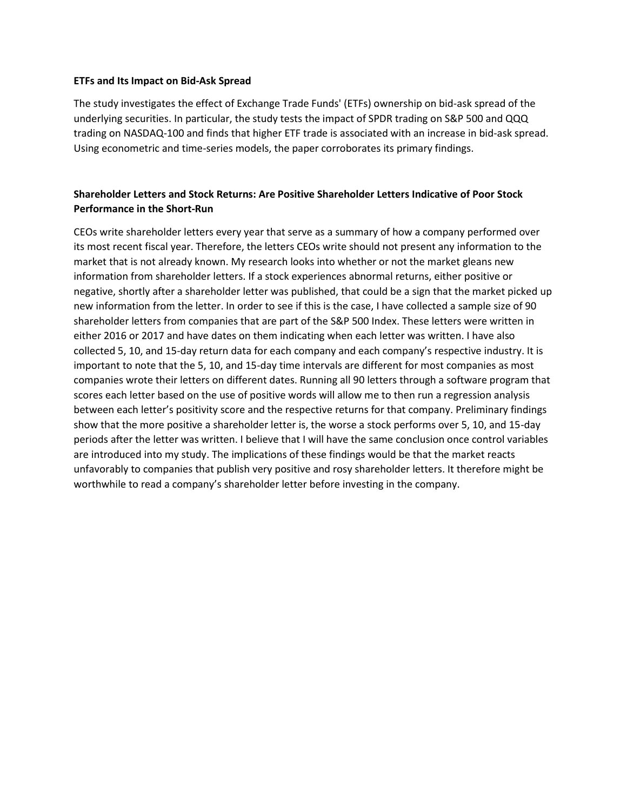## **ETFs and Its Impact on Bid-Ask Spread**

The study investigates the effect of Exchange Trade Funds' (ETFs) ownership on bid-ask spread of the underlying securities. In particular, the study tests the impact of SPDR trading on S&P 500 and QQQ trading on NASDAQ-100 and finds that higher ETF trade is associated with an increase in bid-ask spread. Using econometric and time-series models, the paper corroborates its primary findings.

# **Shareholder Letters and Stock Returns: Are Positive Shareholder Letters Indicative of Poor Stock Performance in the Short-Run**

CEOs write shareholder letters every year that serve as a summary of how a company performed over its most recent fiscal year. Therefore, the letters CEOs write should not present any information to the market that is not already known. My research looks into whether or not the market gleans new information from shareholder letters. If a stock experiences abnormal returns, either positive or negative, shortly after a shareholder letter was published, that could be a sign that the market picked up new information from the letter. In order to see if this is the case, I have collected a sample size of 90 shareholder letters from companies that are part of the S&P 500 Index. These letters were written in either 2016 or 2017 and have dates on them indicating when each letter was written. I have also collected 5, 10, and 15-day return data for each company and each company's respective industry. It is important to note that the 5, 10, and 15-day time intervals are different for most companies as most companies wrote their letters on different dates. Running all 90 letters through a software program that scores each letter based on the use of positive words will allow me to then run a regression analysis between each letter's positivity score and the respective returns for that company. Preliminary findings show that the more positive a shareholder letter is, the worse a stock performs over 5, 10, and 15-day periods after the letter was written. I believe that I will have the same conclusion once control variables are introduced into my study. The implications of these findings would be that the market reacts unfavorably to companies that publish very positive and rosy shareholder letters. It therefore might be worthwhile to read a company's shareholder letter before investing in the company.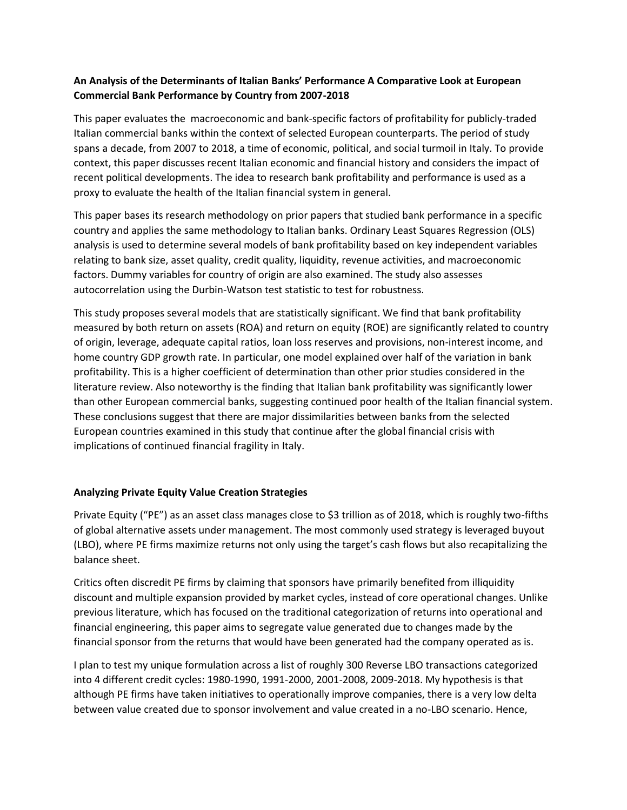# **An Analysis of the Determinants of Italian Banks' Performance A Comparative Look at European Commercial Bank Performance by Country from 2007-2018**

This paper evaluates the macroeconomic and bank-specific factors of profitability for publicly-traded Italian commercial banks within the context of selected European counterparts. The period of study spans a decade, from 2007 to 2018, a time of economic, political, and social turmoil in Italy. To provide context, this paper discusses recent Italian economic and financial history and considers the impact of recent political developments. The idea to research bank profitability and performance is used as a proxy to evaluate the health of the Italian financial system in general.

This paper bases its research methodology on prior papers that studied bank performance in a specific country and applies the same methodology to Italian banks. Ordinary Least Squares Regression (OLS) analysis is used to determine several models of bank profitability based on key independent variables relating to bank size, asset quality, credit quality, liquidity, revenue activities, and macroeconomic factors. Dummy variables for country of origin are also examined. The study also assesses autocorrelation using the Durbin-Watson test statistic to test for robustness.

This study proposes several models that are statistically significant. We find that bank profitability measured by both return on assets (ROA) and return on equity (ROE) are significantly related to country of origin, leverage, adequate capital ratios, loan loss reserves and provisions, non-interest income, and home country GDP growth rate. In particular, one model explained over half of the variation in bank profitability. This is a higher coefficient of determination than other prior studies considered in the literature review. Also noteworthy is the finding that Italian bank profitability was significantly lower than other European commercial banks, suggesting continued poor health of the Italian financial system. These conclusions suggest that there are major dissimilarities between banks from the selected European countries examined in this study that continue after the global financial crisis with implications of continued financial fragility in Italy.

# **Analyzing Private Equity Value Creation Strategies**

Private Equity ("PE") as an asset class manages close to \$3 trillion as of 2018, which is roughly two-fifths of global alternative assets under management. The most commonly used strategy is leveraged buyout (LBO), where PE firms maximize returns not only using the target's cash flows but also recapitalizing the balance sheet.

Critics often discredit PE firms by claiming that sponsors have primarily benefited from illiquidity discount and multiple expansion provided by market cycles, instead of core operational changes. Unlike previous literature, which has focused on the traditional categorization of returns into operational and financial engineering, this paper aims to segregate value generated due to changes made by the financial sponsor from the returns that would have been generated had the company operated as is.

I plan to test my unique formulation across a list of roughly 300 Reverse LBO transactions categorized into 4 different credit cycles: 1980-1990, 1991-2000, 2001-2008, 2009-2018. My hypothesis is that although PE firms have taken initiatives to operationally improve companies, there is a very low delta between value created due to sponsor involvement and value created in a no-LBO scenario. Hence,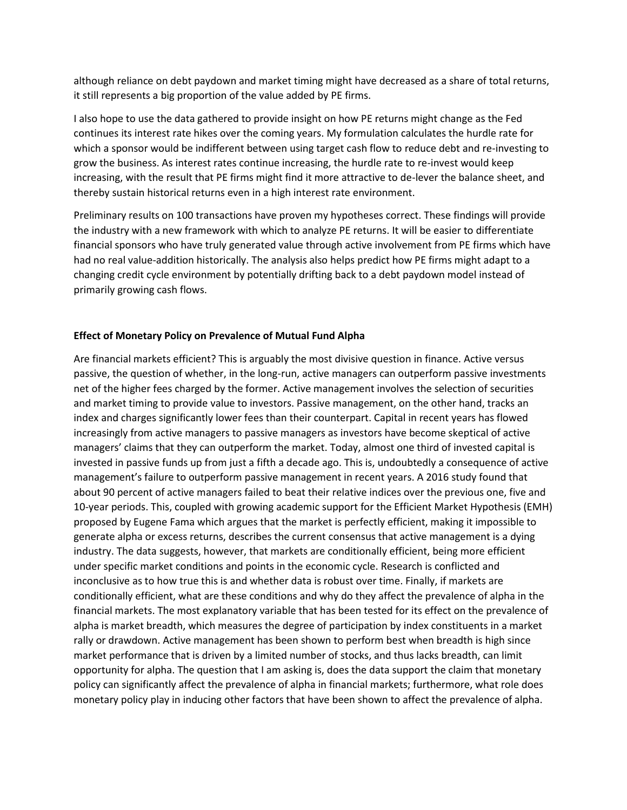although reliance on debt paydown and market timing might have decreased as a share of total returns, it still represents a big proportion of the value added by PE firms.

I also hope to use the data gathered to provide insight on how PE returns might change as the Fed continues its interest rate hikes over the coming years. My formulation calculates the hurdle rate for which a sponsor would be indifferent between using target cash flow to reduce debt and re-investing to grow the business. As interest rates continue increasing, the hurdle rate to re-invest would keep increasing, with the result that PE firms might find it more attractive to de-lever the balance sheet, and thereby sustain historical returns even in a high interest rate environment.

Preliminary results on 100 transactions have proven my hypotheses correct. These findings will provide the industry with a new framework with which to analyze PE returns. It will be easier to differentiate financial sponsors who have truly generated value through active involvement from PE firms which have had no real value-addition historically. The analysis also helps predict how PE firms might adapt to a changing credit cycle environment by potentially drifting back to a debt paydown model instead of primarily growing cash flows.

## **Effect of Monetary Policy on Prevalence of Mutual Fund Alpha**

Are financial markets efficient? This is arguably the most divisive question in finance. Active versus passive, the question of whether, in the long-run, active managers can outperform passive investments net of the higher fees charged by the former. Active management involves the selection of securities and market timing to provide value to investors. Passive management, on the other hand, tracks an index and charges significantly lower fees than their counterpart. Capital in recent years has flowed increasingly from active managers to passive managers as investors have become skeptical of active managers' claims that they can outperform the market. Today, almost one third of invested capital is invested in passive funds up from just a fifth a decade ago. This is, undoubtedly a consequence of active management's failure to outperform passive management in recent years. A 2016 study found that about 90 percent of active managers failed to beat their relative indices over the previous one, five and 10-year periods. This, coupled with growing academic support for the Efficient Market Hypothesis (EMH) proposed by Eugene Fama which argues that the market is perfectly efficient, making it impossible to generate alpha or excess returns, describes the current consensus that active management is a dying industry. The data suggests, however, that markets are conditionally efficient, being more efficient under specific market conditions and points in the economic cycle. Research is conflicted and inconclusive as to how true this is and whether data is robust over time. Finally, if markets are conditionally efficient, what are these conditions and why do they affect the prevalence of alpha in the financial markets. The most explanatory variable that has been tested for its effect on the prevalence of alpha is market breadth, which measures the degree of participation by index constituents in a market rally or drawdown. Active management has been shown to perform best when breadth is high since market performance that is driven by a limited number of stocks, and thus lacks breadth, can limit opportunity for alpha. The question that I am asking is, does the data support the claim that monetary policy can significantly affect the prevalence of alpha in financial markets; furthermore, what role does monetary policy play in inducing other factors that have been shown to affect the prevalence of alpha.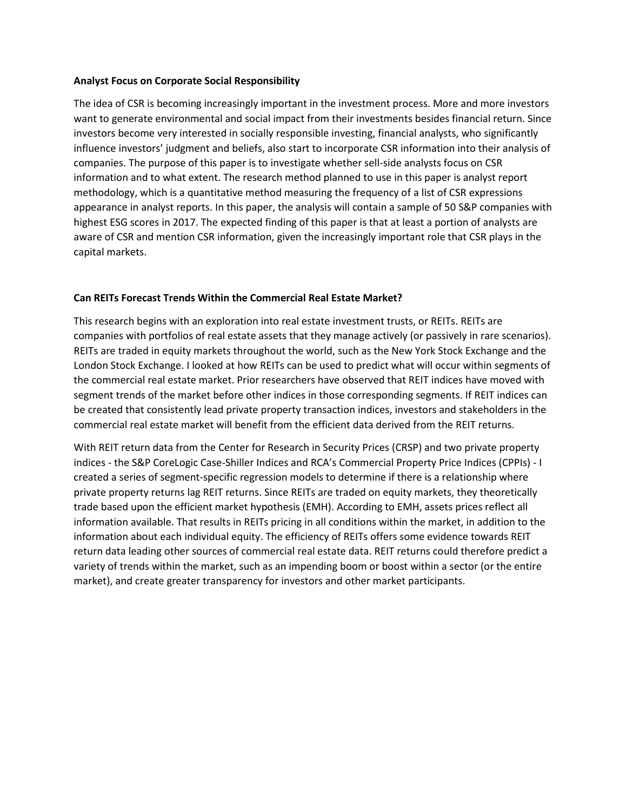## **Analyst Focus on Corporate Social Responsibility**

The idea of CSR is becoming increasingly important in the investment process. More and more investors want to generate environmental and social impact from their investments besides financial return. Since investors become very interested in socially responsible investing, financial analysts, who significantly influence investors' judgment and beliefs, also start to incorporate CSR information into their analysis of companies. The purpose of this paper is to investigate whether sell-side analysts focus on CSR information and to what extent. The research method planned to use in this paper is analyst report methodology, which is a quantitative method measuring the frequency of a list of CSR expressions appearance in analyst reports. In this paper, the analysis will contain a sample of 50 S&P companies with highest ESG scores in 2017. The expected finding of this paper is that at least a portion of analysts are aware of CSR and mention CSR information, given the increasingly important role that CSR plays in the capital markets.

## **Can REITs Forecast Trends Within the Commercial Real Estate Market?**

This research begins with an exploration into real estate investment trusts, or REITs. REITs are companies with portfolios of real estate assets that they manage actively (or passively in rare scenarios). REITs are traded in equity markets throughout the world, such as the New York Stock Exchange and the London Stock Exchange. I looked at how REITs can be used to predict what will occur within segments of the commercial real estate market. Prior researchers have observed that REIT indices have moved with segment trends of the market before other indices in those corresponding segments. If REIT indices can be created that consistently lead private property transaction indices, investors and stakeholders in the commercial real estate market will benefit from the efficient data derived from the REIT returns.

With REIT return data from the Center for Research in Security Prices (CRSP) and two private property indices - the S&P CoreLogic Case-Shiller Indices and RCA's Commercial Property Price Indices (CPPIs) - I created a series of segment-specific regression models to determine if there is a relationship where private property returns lag REIT returns. Since REITs are traded on equity markets, they theoretically trade based upon the efficient market hypothesis (EMH). According to EMH, assets prices reflect all information available. That results in REITs pricing in all conditions within the market, in addition to the information about each individual equity. The efficiency of REITs offers some evidence towards REIT return data leading other sources of commercial real estate data. REIT returns could therefore predict a variety of trends within the market, such as an impending boom or boost within a sector (or the entire market), and create greater transparency for investors and other market participants.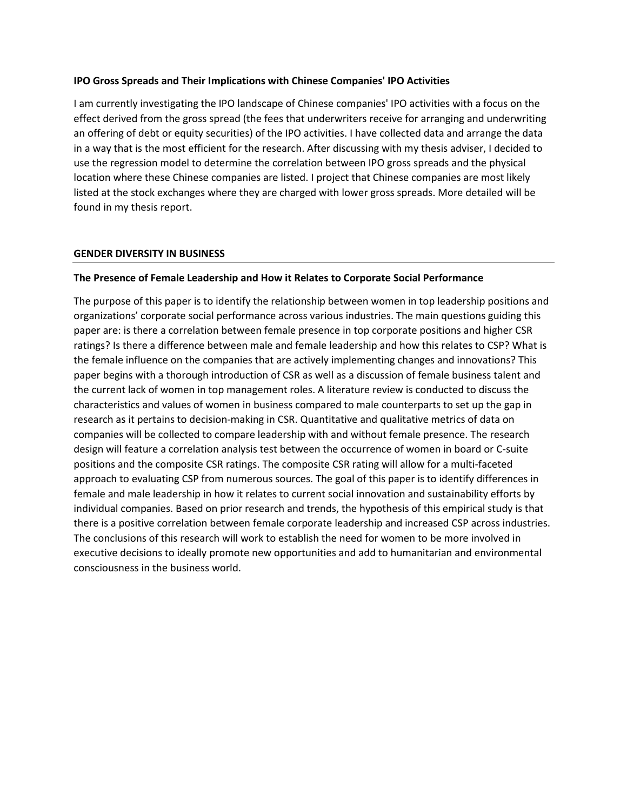## **IPO Gross Spreads and Their Implications with Chinese Companies' IPO Activities**

I am currently investigating the IPO landscape of Chinese companies' IPO activities with a focus on the effect derived from the gross spread (the fees that underwriters receive for arranging and underwriting an offering of debt or equity securities) of the IPO activities. I have collected data and arrange the data in a way that is the most efficient for the research. After discussing with my thesis adviser, I decided to use the regression model to determine the correlation between IPO gross spreads and the physical location where these Chinese companies are listed. I project that Chinese companies are most likely listed at the stock exchanges where they are charged with lower gross spreads. More detailed will be found in my thesis report.

## **GENDER DIVERSITY IN BUSINESS**

## **The Presence of Female Leadership and How it Relates to Corporate Social Performance**

The purpose of this paper is to identify the relationship between women in top leadership positions and organizations' corporate social performance across various industries. The main questions guiding this paper are: is there a correlation between female presence in top corporate positions and higher CSR ratings? Is there a difference between male and female leadership and how this relates to CSP? What is the female influence on the companies that are actively implementing changes and innovations? This paper begins with a thorough introduction of CSR as well as a discussion of female business talent and the current lack of women in top management roles. A literature review is conducted to discuss the characteristics and values of women in business compared to male counterparts to set up the gap in research as it pertains to decision-making in CSR. Quantitative and qualitative metrics of data on companies will be collected to compare leadership with and without female presence. The research design will feature a correlation analysis test between the occurrence of women in board or C-suite positions and the composite CSR ratings. The composite CSR rating will allow for a multi-faceted approach to evaluating CSP from numerous sources. The goal of this paper is to identify differences in female and male leadership in how it relates to current social innovation and sustainability efforts by individual companies. Based on prior research and trends, the hypothesis of this empirical study is that there is a positive correlation between female corporate leadership and increased CSP across industries. The conclusions of this research will work to establish the need for women to be more involved in executive decisions to ideally promote new opportunities and add to humanitarian and environmental consciousness in the business world.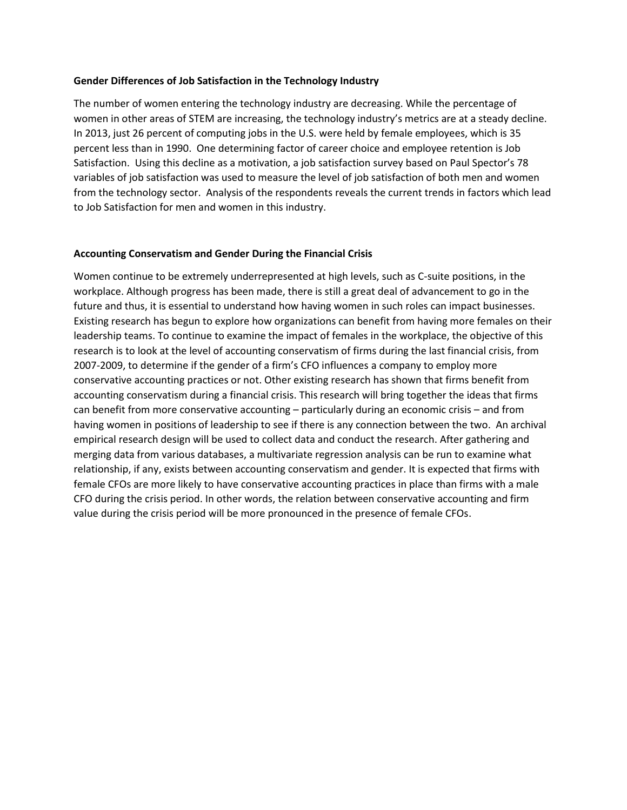## **Gender Differences of Job Satisfaction in the Technology Industry**

The number of women entering the technology industry are decreasing. While the percentage of women in other areas of STEM are increasing, the technology industry's metrics are at a steady decline. In 2013, just 26 percent of computing jobs in the U.S. were held by female employees, which is 35 percent less than in 1990. One determining factor of career choice and employee retention is Job Satisfaction. Using this decline as a motivation, a job satisfaction survey based on Paul Spector's 78 variables of job satisfaction was used to measure the level of job satisfaction of both men and women from the technology sector. Analysis of the respondents reveals the current trends in factors which lead to Job Satisfaction for men and women in this industry.

## **Accounting Conservatism and Gender During the Financial Crisis**

Women continue to be extremely underrepresented at high levels, such as C-suite positions, in the workplace. Although progress has been made, there is still a great deal of advancement to go in the future and thus, it is essential to understand how having women in such roles can impact businesses. Existing research has begun to explore how organizations can benefit from having more females on their leadership teams. To continue to examine the impact of females in the workplace, the objective of this research is to look at the level of accounting conservatism of firms during the last financial crisis, from 2007-2009, to determine if the gender of a firm's CFO influences a company to employ more conservative accounting practices or not. Other existing research has shown that firms benefit from accounting conservatism during a financial crisis. This research will bring together the ideas that firms can benefit from more conservative accounting – particularly during an economic crisis – and from having women in positions of leadership to see if there is any connection between the two. An archival empirical research design will be used to collect data and conduct the research. After gathering and merging data from various databases, a multivariate regression analysis can be run to examine what relationship, if any, exists between accounting conservatism and gender. It is expected that firms with female CFOs are more likely to have conservative accounting practices in place than firms with a male CFO during the crisis period. In other words, the relation between conservative accounting and firm value during the crisis period will be more pronounced in the presence of female CFOs.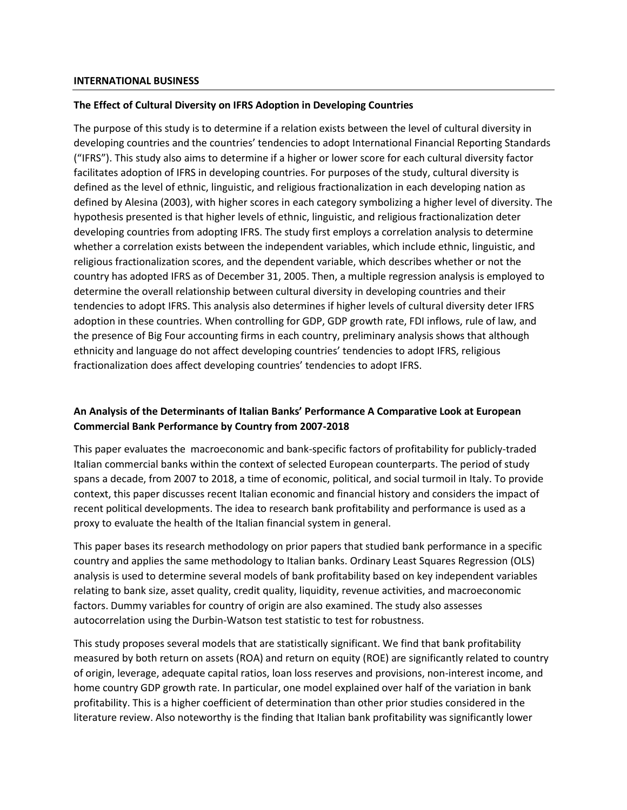#### **INTERNATIONAL BUSINESS**

## **The Effect of Cultural Diversity on IFRS Adoption in Developing Countries**

The purpose of this study is to determine if a relation exists between the level of cultural diversity in developing countries and the countries' tendencies to adopt International Financial Reporting Standards ("IFRS"). This study also aims to determine if a higher or lower score for each cultural diversity factor facilitates adoption of IFRS in developing countries. For purposes of the study, cultural diversity is defined as the level of ethnic, linguistic, and religious fractionalization in each developing nation as defined by Alesina (2003), with higher scores in each category symbolizing a higher level of diversity. The hypothesis presented is that higher levels of ethnic, linguistic, and religious fractionalization deter developing countries from adopting IFRS. The study first employs a correlation analysis to determine whether a correlation exists between the independent variables, which include ethnic, linguistic, and religious fractionalization scores, and the dependent variable, which describes whether or not the country has adopted IFRS as of December 31, 2005. Then, a multiple regression analysis is employed to determine the overall relationship between cultural diversity in developing countries and their tendencies to adopt IFRS. This analysis also determines if higher levels of cultural diversity deter IFRS adoption in these countries. When controlling for GDP, GDP growth rate, FDI inflows, rule of law, and the presence of Big Four accounting firms in each country, preliminary analysis shows that although ethnicity and language do not affect developing countries' tendencies to adopt IFRS, religious fractionalization does affect developing countries' tendencies to adopt IFRS.

# **An Analysis of the Determinants of Italian Banks' Performance A Comparative Look at European Commercial Bank Performance by Country from 2007-2018**

This paper evaluates the macroeconomic and bank-specific factors of profitability for publicly-traded Italian commercial banks within the context of selected European counterparts. The period of study spans a decade, from 2007 to 2018, a time of economic, political, and social turmoil in Italy. To provide context, this paper discusses recent Italian economic and financial history and considers the impact of recent political developments. The idea to research bank profitability and performance is used as a proxy to evaluate the health of the Italian financial system in general.

This paper bases its research methodology on prior papers that studied bank performance in a specific country and applies the same methodology to Italian banks. Ordinary Least Squares Regression (OLS) analysis is used to determine several models of bank profitability based on key independent variables relating to bank size, asset quality, credit quality, liquidity, revenue activities, and macroeconomic factors. Dummy variables for country of origin are also examined. The study also assesses autocorrelation using the Durbin-Watson test statistic to test for robustness.

This study proposes several models that are statistically significant. We find that bank profitability measured by both return on assets (ROA) and return on equity (ROE) are significantly related to country of origin, leverage, adequate capital ratios, loan loss reserves and provisions, non-interest income, and home country GDP growth rate. In particular, one model explained over half of the variation in bank profitability. This is a higher coefficient of determination than other prior studies considered in the literature review. Also noteworthy is the finding that Italian bank profitability was significantly lower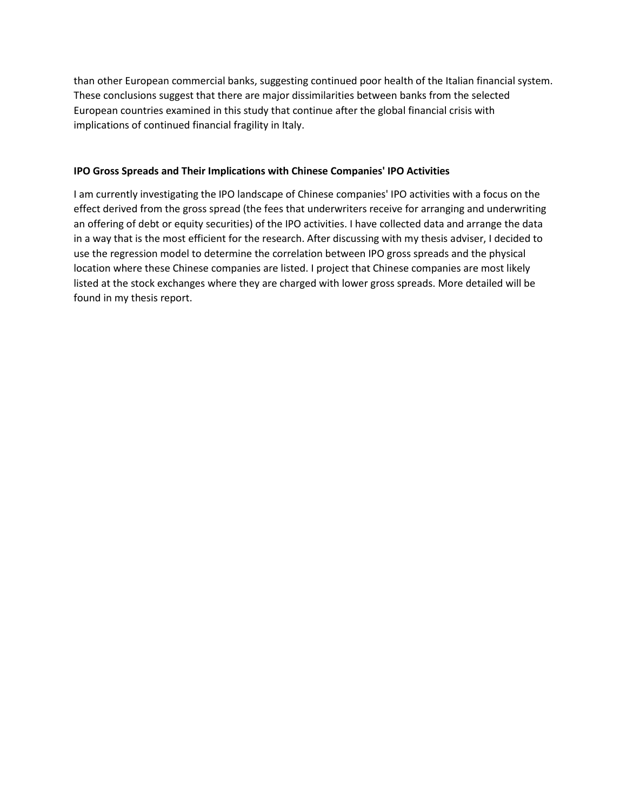than other European commercial banks, suggesting continued poor health of the Italian financial system. These conclusions suggest that there are major dissimilarities between banks from the selected European countries examined in this study that continue after the global financial crisis with implications of continued financial fragility in Italy.

## **IPO Gross Spreads and Their Implications with Chinese Companies' IPO Activities**

I am currently investigating the IPO landscape of Chinese companies' IPO activities with a focus on the effect derived from the gross spread (the fees that underwriters receive for arranging and underwriting an offering of debt or equity securities) of the IPO activities. I have collected data and arrange the data in a way that is the most efficient for the research. After discussing with my thesis adviser, I decided to use the regression model to determine the correlation between IPO gross spreads and the physical location where these Chinese companies are listed. I project that Chinese companies are most likely listed at the stock exchanges where they are charged with lower gross spreads. More detailed will be found in my thesis report.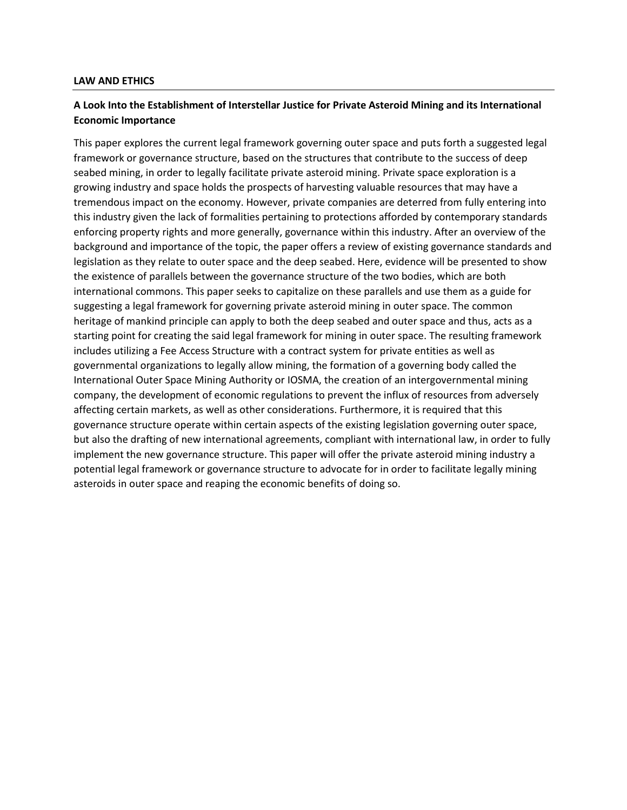#### **LAW AND ETHICS**

## **A Look Into the Establishment of Interstellar Justice for Private Asteroid Mining and its International Economic Importance**

This paper explores the current legal framework governing outer space and puts forth a suggested legal framework or governance structure, based on the structures that contribute to the success of deep seabed mining, in order to legally facilitate private asteroid mining. Private space exploration is a growing industry and space holds the prospects of harvesting valuable resources that may have a tremendous impact on the economy. However, private companies are deterred from fully entering into this industry given the lack of formalities pertaining to protections afforded by contemporary standards enforcing property rights and more generally, governance within this industry. After an overview of the background and importance of the topic, the paper offers a review of existing governance standards and legislation as they relate to outer space and the deep seabed. Here, evidence will be presented to show the existence of parallels between the governance structure of the two bodies, which are both international commons. This paper seeks to capitalize on these parallels and use them as a guide for suggesting a legal framework for governing private asteroid mining in outer space. The common heritage of mankind principle can apply to both the deep seabed and outer space and thus, acts as a starting point for creating the said legal framework for mining in outer space. The resulting framework includes utilizing a Fee Access Structure with a contract system for private entities as well as governmental organizations to legally allow mining, the formation of a governing body called the International Outer Space Mining Authority or IOSMA, the creation of an intergovernmental mining company, the development of economic regulations to prevent the influx of resources from adversely affecting certain markets, as well as other considerations. Furthermore, it is required that this governance structure operate within certain aspects of the existing legislation governing outer space, but also the drafting of new international agreements, compliant with international law, in order to fully implement the new governance structure. This paper will offer the private asteroid mining industry a potential legal framework or governance structure to advocate for in order to facilitate legally mining asteroids in outer space and reaping the economic benefits of doing so.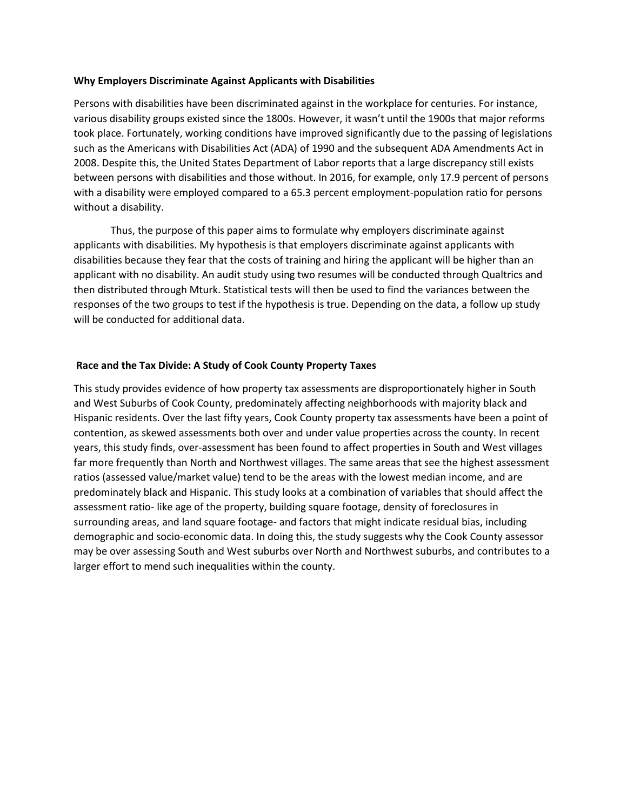## **Why Employers Discriminate Against Applicants with Disabilities**

Persons with disabilities have been discriminated against in the workplace for centuries. For instance, various disability groups existed since the 1800s. However, it wasn't until the 1900s that major reforms took place. Fortunately, working conditions have improved significantly due to the passing of legislations such as the Americans with Disabilities Act (ADA) of 1990 and the subsequent ADA Amendments Act in 2008. Despite this, the United States Department of Labor reports that a large discrepancy still exists between persons with disabilities and those without. In 2016, for example, only 17.9 percent of persons with a disability were employed compared to a 65.3 percent employment-population ratio for persons without a disability.

Thus, the purpose of this paper aims to formulate why employers discriminate against applicants with disabilities. My hypothesis is that employers discriminate against applicants with disabilities because they fear that the costs of training and hiring the applicant will be higher than an applicant with no disability. An audit study using two resumes will be conducted through Qualtrics and then distributed through Mturk. Statistical tests will then be used to find the variances between the responses of the two groups to test if the hypothesis is true. Depending on the data, a follow up study will be conducted for additional data.

## **Race and the Tax Divide: A Study of Cook County Property Taxes**

This study provides evidence of how property tax assessments are disproportionately higher in South and West Suburbs of Cook County, predominately affecting neighborhoods with majority black and Hispanic residents. Over the last fifty years, Cook County property tax assessments have been a point of contention, as skewed assessments both over and under value properties across the county. In recent years, this study finds, over-assessment has been found to affect properties in South and West villages far more frequently than North and Northwest villages. The same areas that see the highest assessment ratios (assessed value/market value) tend to be the areas with the lowest median income, and are predominately black and Hispanic. This study looks at a combination of variables that should affect the assessment ratio- like age of the property, building square footage, density of foreclosures in surrounding areas, and land square footage- and factors that might indicate residual bias, including demographic and socio-economic data. In doing this, the study suggests why the Cook County assessor may be over assessing South and West suburbs over North and Northwest suburbs, and contributes to a larger effort to mend such inequalities within the county.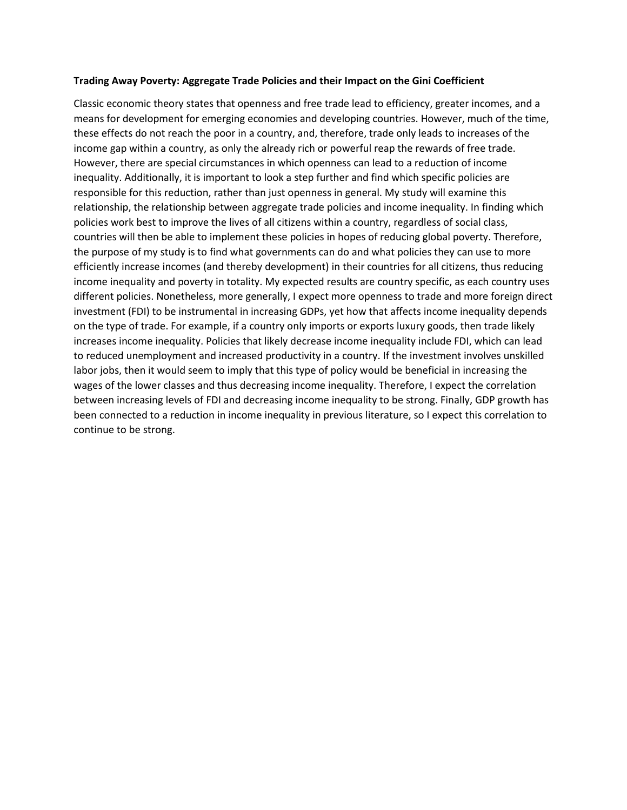## **Trading Away Poverty: Aggregate Trade Policies and their Impact on the Gini Coefficient**

Classic economic theory states that openness and free trade lead to efficiency, greater incomes, and a means for development for emerging economies and developing countries. However, much of the time, these effects do not reach the poor in a country, and, therefore, trade only leads to increases of the income gap within a country, as only the already rich or powerful reap the rewards of free trade. However, there are special circumstances in which openness can lead to a reduction of income inequality. Additionally, it is important to look a step further and find which specific policies are responsible for this reduction, rather than just openness in general. My study will examine this relationship, the relationship between aggregate trade policies and income inequality. In finding which policies work best to improve the lives of all citizens within a country, regardless of social class, countries will then be able to implement these policies in hopes of reducing global poverty. Therefore, the purpose of my study is to find what governments can do and what policies they can use to more efficiently increase incomes (and thereby development) in their countries for all citizens, thus reducing income inequality and poverty in totality. My expected results are country specific, as each country uses different policies. Nonetheless, more generally, I expect more openness to trade and more foreign direct investment (FDI) to be instrumental in increasing GDPs, yet how that affects income inequality depends on the type of trade. For example, if a country only imports or exports luxury goods, then trade likely increases income inequality. Policies that likely decrease income inequality include FDI, which can lead to reduced unemployment and increased productivity in a country. If the investment involves unskilled labor jobs, then it would seem to imply that this type of policy would be beneficial in increasing the wages of the lower classes and thus decreasing income inequality. Therefore, I expect the correlation between increasing levels of FDI and decreasing income inequality to be strong. Finally, GDP growth has been connected to a reduction in income inequality in previous literature, so I expect this correlation to continue to be strong.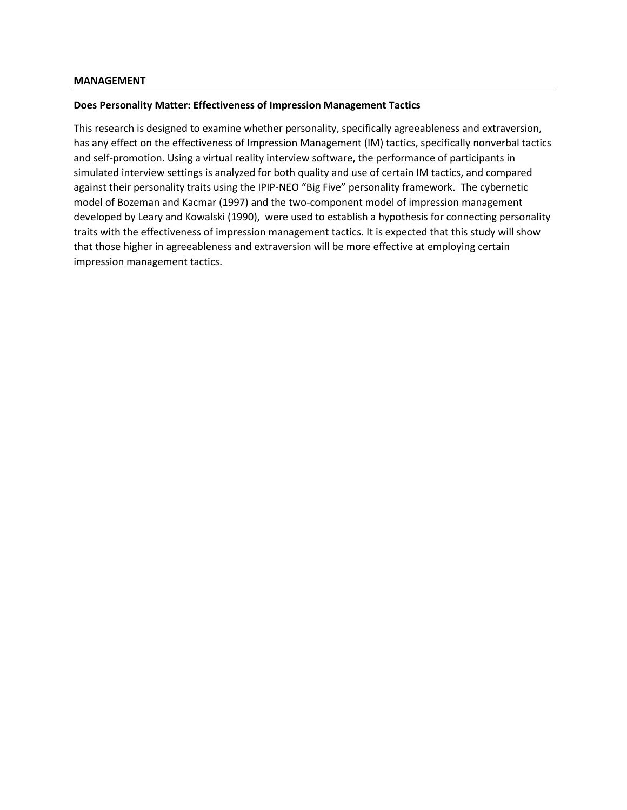#### **Does Personality Matter: Effectiveness of Impression Management Tactics**

This research is designed to examine whether personality, specifically agreeableness and extraversion, has any effect on the effectiveness of Impression Management (IM) tactics, specifically nonverbal tactics and self-promotion. Using a virtual reality interview software, the performance of participants in simulated interview settings is analyzed for both quality and use of certain IM tactics, and compared against their personality traits using the IPIP-NEO "Big Five" personality framework. The cybernetic model of Bozeman and Kacmar (1997) and the two-component model of impression management developed by Leary and Kowalski (1990), were used to establish a hypothesis for connecting personality traits with the effectiveness of impression management tactics. It is expected that this study will show that those higher in agreeableness and extraversion will be more effective at employing certain impression management tactics.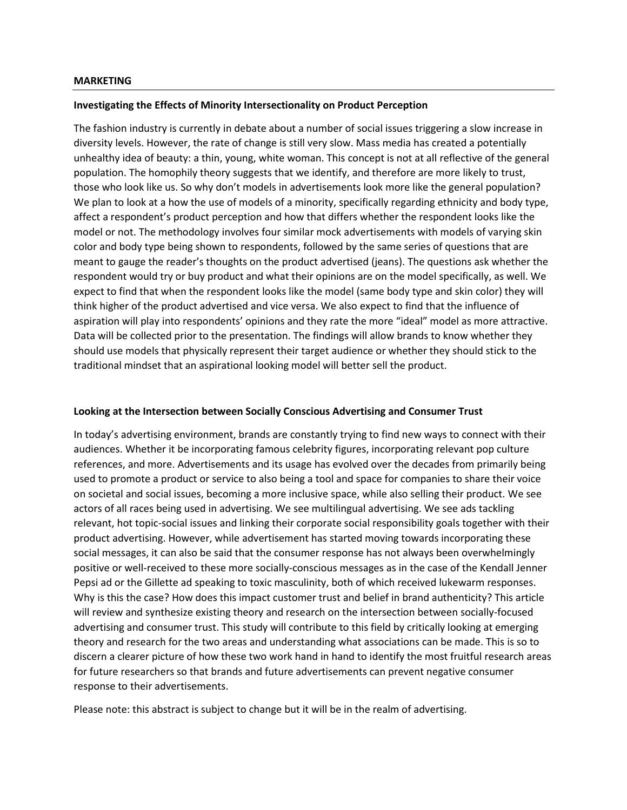#### **MARKETING**

#### **Investigating the Effects of Minority Intersectionality on Product Perception**

The fashion industry is currently in debate about a number of social issues triggering a slow increase in diversity levels. However, the rate of change is still very slow. Mass media has created a potentially unhealthy idea of beauty: a thin, young, white woman. This concept is not at all reflective of the general population. The homophily theory suggests that we identify, and therefore are more likely to trust, those who look like us. So why don't models in advertisements look more like the general population? We plan to look at a how the use of models of a minority, specifically regarding ethnicity and body type, affect a respondent's product perception and how that differs whether the respondent looks like the model or not. The methodology involves four similar mock advertisements with models of varying skin color and body type being shown to respondents, followed by the same series of questions that are meant to gauge the reader's thoughts on the product advertised (jeans). The questions ask whether the respondent would try or buy product and what their opinions are on the model specifically, as well. We expect to find that when the respondent looks like the model (same body type and skin color) they will think higher of the product advertised and vice versa. We also expect to find that the influence of aspiration will play into respondents' opinions and they rate the more "ideal" model as more attractive. Data will be collected prior to the presentation. The findings will allow brands to know whether they should use models that physically represent their target audience or whether they should stick to the traditional mindset that an aspirational looking model will better sell the product.

## **Looking at the Intersection between Socially Conscious Advertising and Consumer Trust**

In today's advertising environment, brands are constantly trying to find new ways to connect with their audiences. Whether it be incorporating famous celebrity figures, incorporating relevant pop culture references, and more. Advertisements and its usage has evolved over the decades from primarily being used to promote a product or service to also being a tool and space for companies to share their voice on societal and social issues, becoming a more inclusive space, while also selling their product. We see actors of all races being used in advertising. We see multilingual advertising. We see ads tackling relevant, hot topic-social issues and linking their corporate social responsibility goals together with their product advertising. However, while advertisement has started moving towards incorporating these social messages, it can also be said that the consumer response has not always been overwhelmingly positive or well-received to these more socially-conscious messages as in the case of the Kendall Jenner Pepsi ad or the Gillette ad speaking to toxic masculinity, both of which received lukewarm responses. Why is this the case? How does this impact customer trust and belief in brand authenticity? This article will review and synthesize existing theory and research on the intersection between socially-focused advertising and consumer trust. This study will contribute to this field by critically looking at emerging theory and research for the two areas and understanding what associations can be made. This is so to discern a clearer picture of how these two work hand in hand to identify the most fruitful research areas for future researchers so that brands and future advertisements can prevent negative consumer response to their advertisements.

Please note: this abstract is subject to change but it will be in the realm of advertising.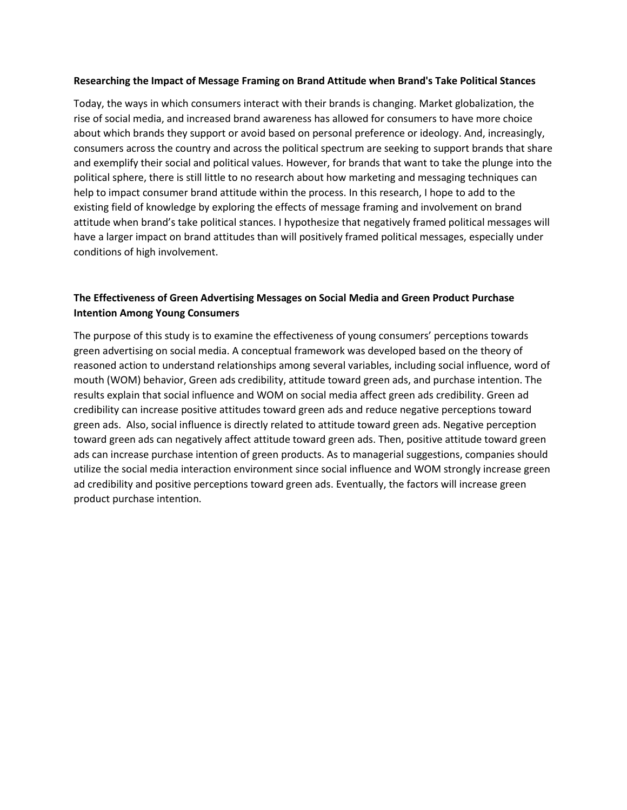## **Researching the Impact of Message Framing on Brand Attitude when Brand's Take Political Stances**

Today, the ways in which consumers interact with their brands is changing. Market globalization, the rise of social media, and increased brand awareness has allowed for consumers to have more choice about which brands they support or avoid based on personal preference or ideology. And, increasingly, consumers across the country and across the political spectrum are seeking to support brands that share and exemplify their social and political values. However, for brands that want to take the plunge into the political sphere, there is still little to no research about how marketing and messaging techniques can help to impact consumer brand attitude within the process. In this research, I hope to add to the existing field of knowledge by exploring the effects of message framing and involvement on brand attitude when brand's take political stances. I hypothesize that negatively framed political messages will have a larger impact on brand attitudes than will positively framed political messages, especially under conditions of high involvement.

# **The Effectiveness of Green Advertising Messages on Social Media and Green Product Purchase Intention Among Young Consumers**

The purpose of this study is to examine the effectiveness of young consumers' perceptions towards green advertising on social media. A conceptual framework was developed based on the theory of reasoned action to understand relationships among several variables, including social influence, word of mouth (WOM) behavior, Green ads credibility, attitude toward green ads, and purchase intention. The results explain that social influence and WOM on social media affect green ads credibility. Green ad credibility can increase positive attitudes toward green ads and reduce negative perceptions toward green ads. Also, social influence is directly related to attitude toward green ads. Negative perception toward green ads can negatively affect attitude toward green ads. Then, positive attitude toward green ads can increase purchase intention of green products. As to managerial suggestions, companies should utilize the social media interaction environment since social influence and WOM strongly increase green ad credibility and positive perceptions toward green ads. Eventually, the factors will increase green product purchase intention.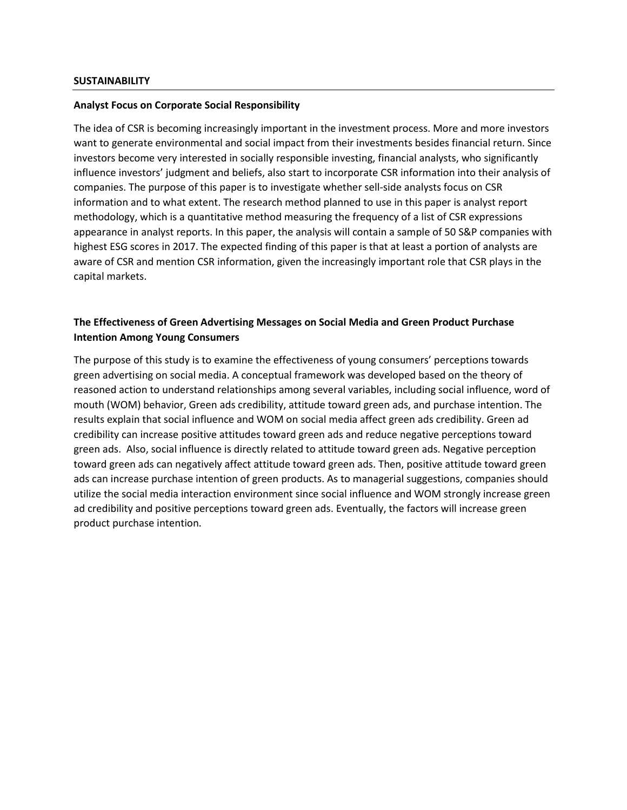#### **Analyst Focus on Corporate Social Responsibility**

The idea of CSR is becoming increasingly important in the investment process. More and more investors want to generate environmental and social impact from their investments besides financial return. Since investors become very interested in socially responsible investing, financial analysts, who significantly influence investors' judgment and beliefs, also start to incorporate CSR information into their analysis of companies. The purpose of this paper is to investigate whether sell-side analysts focus on CSR information and to what extent. The research method planned to use in this paper is analyst report methodology, which is a quantitative method measuring the frequency of a list of CSR expressions appearance in analyst reports. In this paper, the analysis will contain a sample of 50 S&P companies with highest ESG scores in 2017. The expected finding of this paper is that at least a portion of analysts are aware of CSR and mention CSR information, given the increasingly important role that CSR plays in the capital markets.

# **The Effectiveness of Green Advertising Messages on Social Media and Green Product Purchase Intention Among Young Consumers**

The purpose of this study is to examine the effectiveness of young consumers' perceptions towards green advertising on social media. A conceptual framework was developed based on the theory of reasoned action to understand relationships among several variables, including social influence, word of mouth (WOM) behavior, Green ads credibility, attitude toward green ads, and purchase intention. The results explain that social influence and WOM on social media affect green ads credibility. Green ad credibility can increase positive attitudes toward green ads and reduce negative perceptions toward green ads. Also, social influence is directly related to attitude toward green ads. Negative perception toward green ads can negatively affect attitude toward green ads. Then, positive attitude toward green ads can increase purchase intention of green products. As to managerial suggestions, companies should utilize the social media interaction environment since social influence and WOM strongly increase green ad credibility and positive perceptions toward green ads. Eventually, the factors will increase green product purchase intention.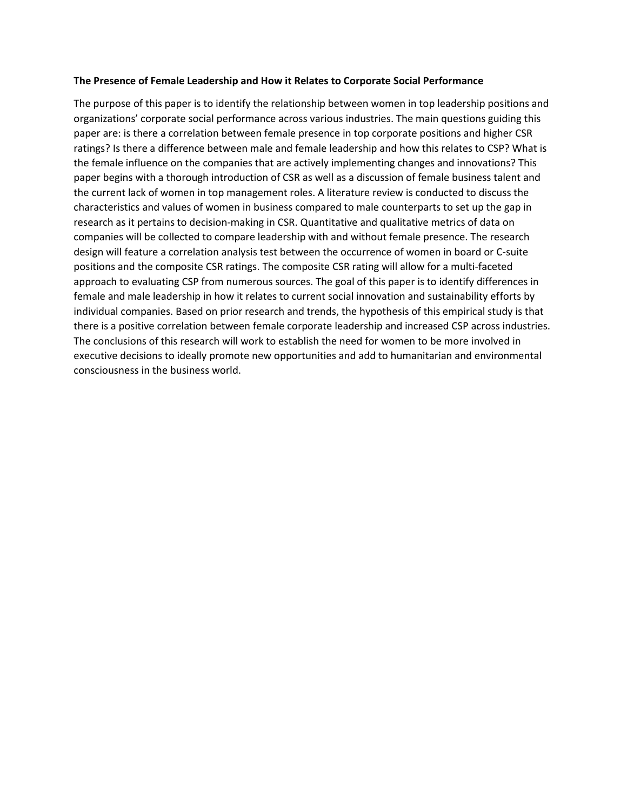## **The Presence of Female Leadership and How it Relates to Corporate Social Performance**

The purpose of this paper is to identify the relationship between women in top leadership positions and organizations' corporate social performance across various industries. The main questions guiding this paper are: is there a correlation between female presence in top corporate positions and higher CSR ratings? Is there a difference between male and female leadership and how this relates to CSP? What is the female influence on the companies that are actively implementing changes and innovations? This paper begins with a thorough introduction of CSR as well as a discussion of female business talent and the current lack of women in top management roles. A literature review is conducted to discuss the characteristics and values of women in business compared to male counterparts to set up the gap in research as it pertains to decision-making in CSR. Quantitative and qualitative metrics of data on companies will be collected to compare leadership with and without female presence. The research design will feature a correlation analysis test between the occurrence of women in board or C-suite positions and the composite CSR ratings. The composite CSR rating will allow for a multi-faceted approach to evaluating CSP from numerous sources. The goal of this paper is to identify differences in female and male leadership in how it relates to current social innovation and sustainability efforts by individual companies. Based on prior research and trends, the hypothesis of this empirical study is that there is a positive correlation between female corporate leadership and increased CSP across industries. The conclusions of this research will work to establish the need for women to be more involved in executive decisions to ideally promote new opportunities and add to humanitarian and environmental consciousness in the business world.